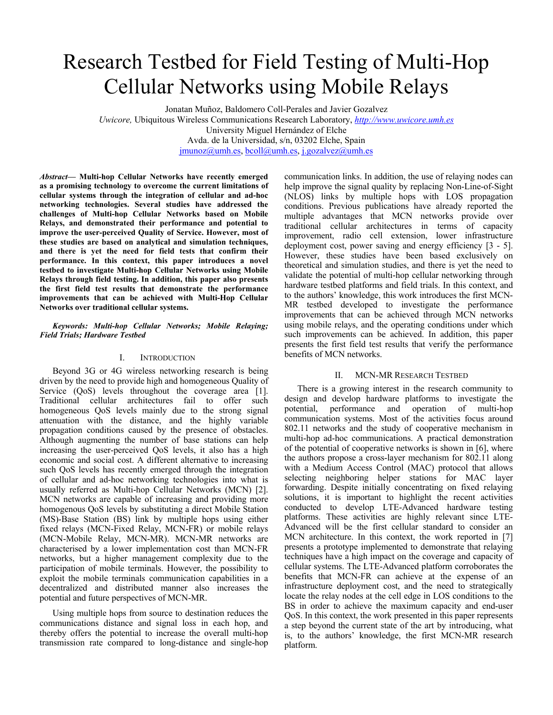# Research Testbed for Field Testing of Multi-Hop Cellular Networks using Mobile Relays

Jonatan Muñoz, Baldomero Coll-Perales and Javier Gozalvez *Uwicore,* Ubiquitous Wireless Communications Research Laboratory, *http://www.uwicore.umh.es* University Miguel Hernández of Elche Avda. de la Universidad, s/n, 03202 Elche, Spain jmunoz@umh.es, bcoll@umh.es, j.gozalvez@umh.es

*Abstract***— Multi-hop Cellular Networks have recently emerged as a promising technology to overcome the current limitations of cellular systems through the integration of cellular and ad-hoc networking technologies. Several studies have addressed the challenges of Multi-hop Cellular Networks based on Mobile Relays, and demonstrated their performance and potential to improve the user-perceived Quality of Service. However, most of these studies are based on analytical and simulation techniques, and there is yet the need for field tests that confirm their performance. In this context, this paper introduces a novel testbed to investigate Multi-hop Cellular Networks using Mobile Relays through field testing. In addition, this paper also presents the first field test results that demonstrate the performance improvements that can be achieved with Multi-Hop Cellular Networks over traditional cellular systems.** 

## *Keywords: Multi-hop Cellular Networks; Mobile Relaying; Field Trials; Hardware Testbed*

## I. INTRODUCTION

Beyond 3G or 4G wireless networking research is being driven by the need to provide high and homogeneous Quality of Service (QoS) levels throughout the coverage area [1]. Traditional cellular architectures fail to offer such homogeneous QoS levels mainly due to the strong signal attenuation with the distance, and the highly variable propagation conditions caused by the presence of obstacles. Although augmenting the number of base stations can help increasing the user-perceived QoS levels, it also has a high economic and social cost. A different alternative to increasing such QoS levels has recently emerged through the integration of cellular and ad-hoc networking technologies into what is usually referred as Multi-hop Cellular Networks (MCN) [2]. MCN networks are capable of increasing and providing more homogenous QoS levels by substituting a direct Mobile Station (MS)-Base Station (BS) link by multiple hops using either fixed relays (MCN-Fixed Relay, MCN-FR) or mobile relays (MCN-Mobile Relay, MCN-MR). MCN-MR networks are characterised by a lower implementation cost than MCN-FR networks, but a higher management complexity due to the participation of mobile terminals. However, the possibility to exploit the mobile terminals communication capabilities in a decentralized and distributed manner also increases the potential and future perspectives of MCN-MR.

Using multiple hops from source to destination reduces the communications distance and signal loss in each hop, and thereby offers the potential to increase the overall multi-hop transmission rate compared to long-distance and single-hop communication links. In addition, the use of relaying nodes can help improve the signal quality by replacing Non-Line-of-Sight (NLOS) links by multiple hops with LOS propagation conditions. Previous publications have already reported the multiple advantages that MCN networks provide over traditional cellular architectures in terms of capacity improvement, radio cell extension, lower infrastructure deployment cost, power saving and energy efficiency [3 - 5]. However, these studies have been based exclusively on theoretical and simulation studies, and there is yet the need to validate the potential of multi-hop cellular networking through hardware testbed platforms and field trials. In this context, and to the authors' knowledge, this work introduces the first MCN-MR testbed developed to investigate the performance improvements that can be achieved through MCN networks using mobile relays, and the operating conditions under which such improvements can be achieved. In addition, this paper presents the first field test results that verify the performance benefits of MCN networks.

#### II. MCN-MR RESEARCH TESTBED

There is a growing interest in the research community to design and develop hardware platforms to investigate the potential, performance and operation of multi-hop communication systems. Most of the activities focus around 802.11 networks and the study of cooperative mechanism in multi-hop ad-hoc communications. A practical demonstration of the potential of cooperative networks is shown in [6], where the authors propose a cross-layer mechanism for 802.11 along with a Medium Access Control (MAC) protocol that allows selecting neighboring helper stations for MAC layer forwarding. Despite initially concentrating on fixed relaying solutions, it is important to highlight the recent activities conducted to develop LTE-Advanced hardware testing platforms. These activities are highly relevant since LTE-Advanced will be the first cellular standard to consider an MCN architecture. In this context, the work reported in [7] presents a prototype implemented to demonstrate that relaying techniques have a high impact on the coverage and capacity of cellular systems. The LTE-Advanced platform corroborates the benefits that MCN-FR can achieve at the expense of an infrastructure deployment cost, and the need to strategically locate the relay nodes at the cell edge in LOS conditions to the BS in order to achieve the maximum capacity and end-user QoS. In this context, the work presented in this paper represents a step beyond the current state of the art by introducing, what is, to the authors' knowledge, the first MCN-MR research platform.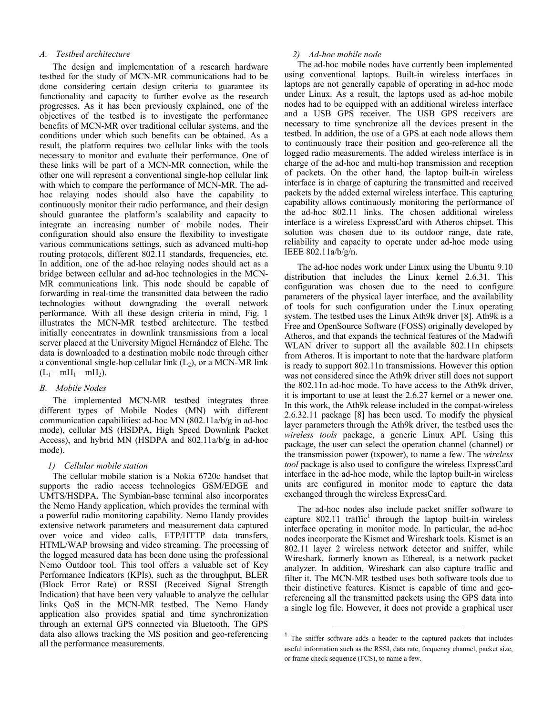## *A. Testbed architecture*

The design and implementation of a research hardware testbed for the study of MCN-MR communications had to be done considering certain design criteria to guarantee its functionality and capacity to further evolve as the research progresses. As it has been previously explained, one of the objectives of the testbed is to investigate the performance benefits of MCN-MR over traditional cellular systems, and the conditions under which such benefits can be obtained. As a result, the platform requires two cellular links with the tools necessary to monitor and evaluate their performance. One of these links will be part of a MCN-MR connection, while the other one will represent a conventional single-hop cellular link with which to compare the performance of MCN-MR. The adhoc relaying nodes should also have the capability to continuously monitor their radio performance, and their design should guarantee the platform's scalability and capacity to integrate an increasing number of mobile nodes. Their configuration should also ensure the flexibility to investigate various communications settings, such as advanced multi-hop routing protocols, different 802.11 standards, frequencies, etc. In addition, one of the ad-hoc relaying nodes should act as a bridge between cellular and ad-hoc technologies in the MCN-MR communications link. This node should be capable of forwarding in real-time the transmitted data between the radio technologies without downgrading the overall network performance. With all these design criteria in mind, Fig. 1 illustrates the MCN-MR testbed architecture. The testbed initially concentrates in downlink transmissions from a local server placed at the University Miguel Hernández of Elche. The data is downloaded to a destination mobile node through either a conventional single-hop cellular link  $(L<sub>2</sub>)$ , or a MCN-MR link  $(L_1 - mH_1 - mH_2)$ .

# *B. Mobile Nodes*

The implemented MCN-MR testbed integrates three different types of Mobile Nodes (MN) with different communication capabilities: ad-hoc MN (802.11a/b/g in ad-hoc mode), cellular MS (HSDPA, High Speed Downlink Packet Access), and hybrid MN (HSDPA and 802.11a/b/g in ad-hoc mode).

#### *1) Cellular mobile station*

The cellular mobile station is a Nokia 6720c handset that supports the radio access technologies GSM/EDGE and UMTS/HSDPA. The Symbian-base terminal also incorporates the Nemo Handy application, which provides the terminal with a powerful radio monitoring capability. Nemo Handy provides extensive network parameters and measurement data captured over voice and video calls, FTP/HTTP data transfers, HTML/WAP browsing and video streaming. The processing of the logged measured data has been done using the professional Nemo Outdoor tool. This tool offers a valuable set of Key Performance Indicators (KPIs), such as the throughput, BLER (Block Error Rate) or RSSI (Received Signal Strength Indication) that have been very valuable to analyze the cellular links QoS in the MCN-MR testbed. The Nemo Handy application also provides spatial and time synchronization through an external GPS connected via Bluetooth. The GPS data also allows tracking the MS position and geo-referencing all the performance measurements.

## *2) Ad-hoc mobile node*

The ad-hoc mobile nodes have currently been implemented using conventional laptops. Built-in wireless interfaces in laptops are not generally capable of operating in ad-hoc mode under Linux. As a result, the laptops used as ad-hoc mobile nodes had to be equipped with an additional wireless interface and a USB GPS receiver. The USB GPS receivers are necessary to time synchronize all the devices present in the testbed. In addition, the use of a GPS at each node allows them to continuously trace their position and geo-reference all the logged radio measurements. The added wireless interface is in charge of the ad-hoc and multi-hop transmission and reception of packets. On the other hand, the laptop built-in wireless interface is in charge of capturing the transmitted and received packets by the added external wireless interface. This capturing capability allows continuously monitoring the performance of the ad-hoc 802.11 links. The chosen additional wireless interface is a wireless ExpressCard with Atheros chipset. This solution was chosen due to its outdoor range, date rate, reliability and capacity to operate under ad-hoc mode using IEEE 802.11a/b/g/n.

The ad-hoc nodes work under Linux using the Ubuntu 9.10 distribution that includes the Linux kernel 2.6.31. This configuration was chosen due to the need to configure parameters of the physical layer interface, and the availability of tools for such configuration under the Linux operating system. The testbed uses the Linux Ath9k driver [8]. Ath9k is a Free and OpenSource Software (FOSS) originally developed by Atheros, and that expands the technical features of the Madwifi WLAN driver to support all the available 802.11n chipsets from Atheros. It is important to note that the hardware platform is ready to support 802.11n transmissions. However this option was not considered since the Ath9k driver still does not support the 802.11n ad-hoc mode. To have access to the Ath9k driver, it is important to use at least the 2.6.27 kernel or a newer one. In this work, the Ath9k release included in the compat-wireless 2.6.32.11 package [8] has been used. To modify the physical layer parameters through the Ath9k driver, the testbed uses the *wireless tools* package, a generic Linux API. Using this package, the user can select the operation channel (channel) or the transmission power (txpower), to name a few. The *wireless tool* package is also used to configure the wireless ExpressCard interface in the ad-hoc mode, while the laptop built-in wireless units are configured in monitor mode to capture the data exchanged through the wireless ExpressCard.

The ad-hoc nodes also include packet sniffer software to capture  $802.11$  traffic<sup>1</sup> through the laptop built-in wireless interface operating in monitor mode. In particular, the ad-hoc nodes incorporate the Kismet and Wireshark tools. Kismet is an 802.11 layer 2 wireless network detector and sniffer, while Wireshark, formerly known as Ethereal, is a network packet analyzer. In addition, Wireshark can also capture traffic and filter it. The MCN-MR testbed uses both software tools due to their distinctive features. Kismet is capable of time and georeferencing all the transmitted packets using the GPS data into a single log file. However, it does not provide a graphical user

l

<sup>&</sup>lt;sup>1</sup> The sniffer software adds a header to the captured packets that includes useful information such as the RSSI, data rate, frequency channel, packet size, or frame check sequence (FCS), to name a few.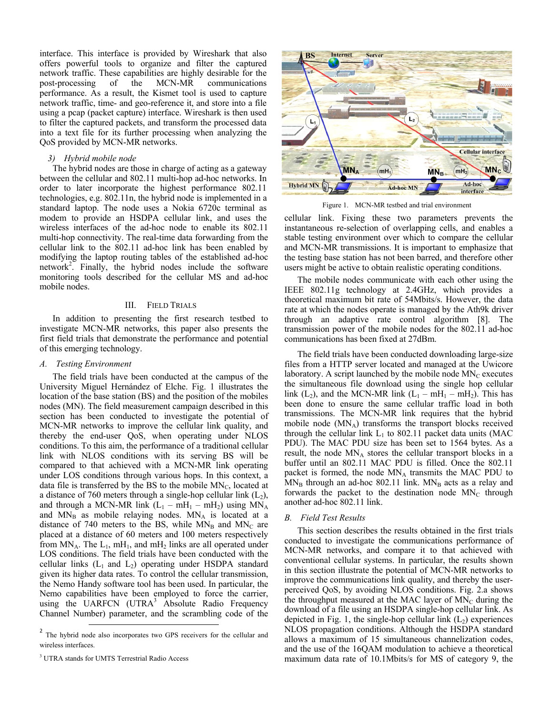interface. This interface is provided by Wireshark that also offers powerful tools to organize and filter the captured network traffic. These capabilities are highly desirable for the post-processing of the MCN-MR communications performance. As a result, the Kismet tool is used to capture network traffic, time- and geo-reference it, and store into a file using a pcap (packet capture) interface. Wireshark is then used to filter the captured packets, and transform the processed data into a text file for its further processing when analyzing the QoS provided by MCN-MR networks.

#### *3) Hybrid mobile node*

The hybrid nodes are those in charge of acting as a gateway between the cellular and 802.11 multi-hop ad-hoc networks. In order to later incorporate the highest performance 802.11 technologies, e.g. 802.11n, the hybrid node is implemented in a standard laptop. The node uses a Nokia 6720c terminal as modem to provide an HSDPA cellular link, and uses the wireless interfaces of the ad-hoc node to enable its 802.11 multi-hop connectivity. The real-time data forwarding from the cellular link to the 802.11 ad-hoc link has been enabled by modifying the laptop routing tables of the established ad-hoc network<sup>2</sup>. Finally, the hybrid nodes include the software monitoring tools described for the cellular MS and ad-hoc mobile nodes.

## III. FIELD TRIALS

In addition to presenting the first research testbed to investigate MCN-MR networks, this paper also presents the first field trials that demonstrate the performance and potential of this emerging technology.

#### *A. Testing Environment*

The field trials have been conducted at the campus of the University Miguel Hernández of Elche. Fig. 1 illustrates the location of the base station (BS) and the position of the mobiles nodes (MN). The field measurement campaign described in this section has been conducted to investigate the potential of MCN-MR networks to improve the cellular link quality, and thereby the end-user QoS, when operating under NLOS conditions. To this aim, the performance of a traditional cellular link with NLOS conditions with its serving BS will be compared to that achieved with a MCN-MR link operating under LOS conditions through various hops. In this context, a data file is transferred by the BS to the mobile  $MN<sub>C</sub>$ , located at a distance of 760 meters through a single-hop cellular link  $(L_2)$ , and through a MCN-MR link  $(L_1 - mH_1 - mH_2)$  using MN<sub>A</sub> and  $MN_B$  as mobile relaying nodes.  $MN_A$  is located at a distance of 740 meters to the BS, while  $MN_B$  and  $MN_C$  are placed at a distance of 60 meters and 100 meters respectively from  $MN_A$ . The  $L_1$ , mH<sub>1</sub>, and mH<sub>2</sub> links are all operated under LOS conditions. The field trials have been conducted with the cellular links  $(L_1 \text{ and } L_2)$  operating under HSDPA standard given its higher data rates. To control the cellular transmission, the Nemo Handy software tool has been used. In particular, the Nemo capabilities have been employed to force the carrier, using the UARFCN  $(UTRA^3)$  Absolute Radio Frequency Channel Number) parameter, and the scrambling code of the



Figure 1. MCN-MR testbed and trial environment

cellular link. Fixing these two parameters prevents the instantaneous re-selection of overlapping cells, and enables a stable testing environment over which to compare the cellular and MCN-MR transmissions. It is important to emphasize that the testing base station has not been barred, and therefore other users might be active to obtain realistic operating conditions.

The mobile nodes communicate with each other using the IEEE 802.11g technology at 2.4GHz, which provides a theoretical maximum bit rate of 54Mbits/s. However, the data rate at which the nodes operate is managed by the Ath9k driver through an adaptive rate control algorithm [8]. The transmission power of the mobile nodes for the 802.11 ad-hoc communications has been fixed at 27dBm.

The field trials have been conducted downloading large-size files from a HTTP server located and managed at the Uwicore laboratory. A script launched by the mobile node  $MN_C$  executes the simultaneous file download using the single hop cellular link (L<sub>2</sub>), and the MCN-MR link (L<sub>1</sub> – mH<sub>1</sub> – mH<sub>2</sub>). This has been done to ensure the same cellular traffic load in both transmissions. The MCN-MR link requires that the hybrid mobile node  $(MN_A)$  transforms the transport blocks received through the cellular link  $L_1$  to 802.11 packet data units (MAC PDU). The MAC PDU size has been set to 1564 bytes. As a result, the node  $MN_A$  stores the cellular transport blocks in a buffer until an 802.11 MAC PDU is filled. Once the 802.11 packet is formed, the node  $MN_A$  transmits the MAC PDU to  $MN_B$  through an ad-hoc 802.11 link.  $MN_B$  acts as a relay and forwards the packet to the destination node  $MN_c$  through another ad-hoc 802.11 link.

#### *B. Field Test Results*

This section describes the results obtained in the first trials conducted to investigate the communications performance of MCN-MR networks, and compare it to that achieved with conventional cellular systems. In particular, the results shown in this section illustrate the potential of MCN-MR networks to improve the communications link quality, and thereby the userperceived QoS, by avoiding NLOS conditions. Fig. 2.a shows the throughput measured at the MAC layer of  $MN_C$  during the download of a file using an HSDPA single-hop cellular link. As depicted in Fig. 1, the single-hop cellular link  $(L<sub>2</sub>)$  experiences NLOS propagation conditions. Although the HSDPA standard allows a maximum of 15 simultaneous channelization codes, and the use of the 16QAM modulation to achieve a theoretical maximum data rate of 10.1Mbits/s for MS of category 9, the

<sup>&</sup>lt;sup>2</sup> The hybrid node also incorporates two GPS receivers for the cellular and wireless interfaces.

<sup>&</sup>lt;sup>3</sup> UTRA stands for UMTS Terrestrial Radio Access